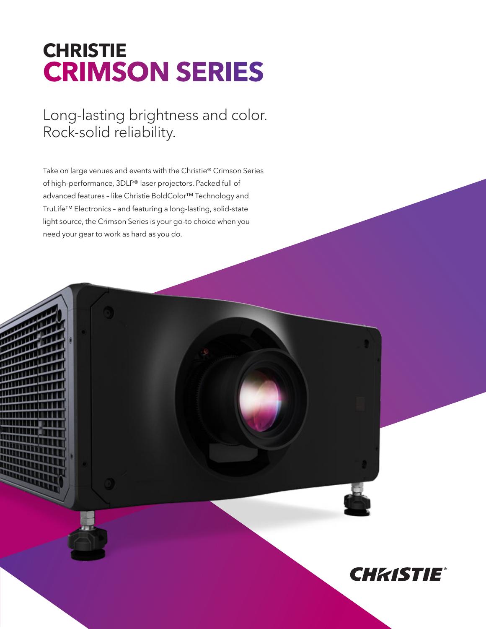## **CHRISTIE CRIMSON SERIES**

Long-lasting brightness and color. Rock-solid reliability.

Take on large venues and events with the Christie® Crimson Series of high-performance, 3DLP® laser projectors. Packed full of advanced features – like Christie BoldColor™ Technology and TruLife™ Electronics – and featuring a long-lasting, solid-state light source, the Crimson Series is your go-to choice when you need your gear to work as hard as you do.

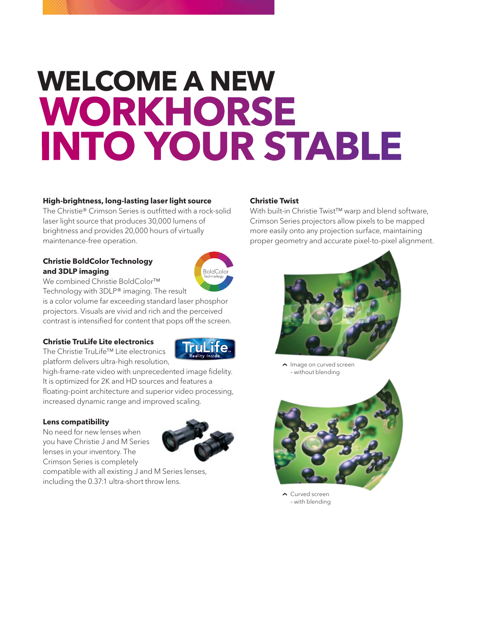# **WELCOME A NEW WORKHORSE INTO YOUR STABLE**

#### **High-brightness, long-lasting laser light source**

The Christie® Crimson Series is outfitted with a rock-solid laser light source that produces 30,000 lumens of brightness and provides 20,000 hours of virtually maintenance-free operation.

#### **Christie BoldColor Technology and 3DLP imaging**



TruLite

We combined Christie BoldColor™

Technology with 3DLP® imaging. The result is a color volume far exceeding standard laser phosphor projectors. Visuals are vivid and rich and the perceived contrast is intensified for content that pops off the screen.

#### **Christie TruLife Lite electronics**

The Christie TruLife™ Lite electronics platform delivers ultra-high resolution,

high-frame-rate video with unprecedented image fidelity. It is optimized for 2K and HD sources and features a floating-point architecture and superior video processing, increased dynamic range and improved scaling.

#### **Lens compatibility**

No need for new lenses when you have Christie J and M Series lenses in your inventory. The Crimson Series is completely



compatible with all existing J and M Series lenses, including the 0.37:1 ultra-short throw lens.

#### **Christie Twist**

With built-in Christie Twist™ warp and blend software, Crimson Series projectors allow pixels to be mapped more easily onto any projection surface, maintaining proper geometry and accurate pixel-to-pixel alignment.



 $\sim$  Image on curved screen – without blending



 Curved screen – with blending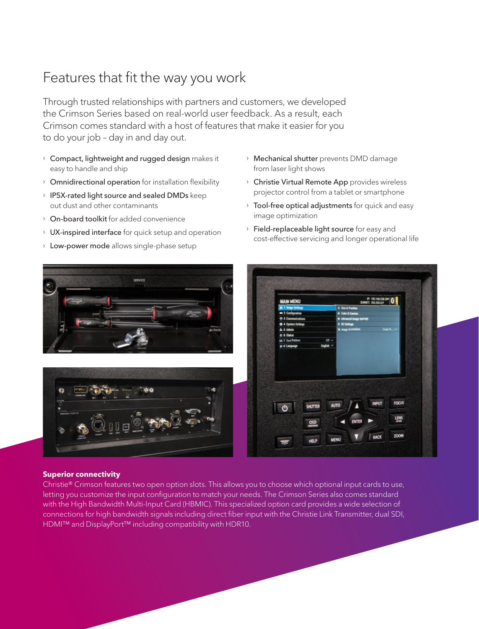## Features that fit the way you work

Through trusted relationships with partners and customers, we developed the Crimson Series based on real-world user feedback. As a result, each Crimson comes standard with a host of features that make it easier for you to do your job – day in and day out.

- $\rightarrow$  Compact, lightweight and rugged design makes it easy to handle and ship
- › Omnidirectional operation for installation flexibility
- › IP5X-rated light source and sealed DMDs keep out dust and other contaminants
- › On-board toolkit for added convenience
- › UX-inspired interface for quick setup and operation
- **Low-power mode** allows single-phase setup
- › Mechanical shutter prevents DMD damage from laser light shows
- › Christie Virtual Remote App provides wireless projector control from a tablet or smartphone
- **Tool-free optical adjustments** for quick and easy image optimization
- › Field-replaceable light source for easy and cost-effective servicing and longer operational life

| E 1 Image Settings<br>X Sin & Position<br>2 Configuration<br>· Color & Camma<br>@ 3 Communications<br><b>n</b> Advanced image Settings<br>O 4 System Settings<br>a 30 Settings<br>Front Pr., v<br><b>W</b> Image Orientation<br>A 5 Admin<br>8 5 Satus<br>on 7 Test Pattern<br>$on \sim$<br><b>Exploit v</b><br>@ 8 Language<br><b>FOCUS</b><br><b>INPUT</b><br><b>AUTO</b><br><b>SHUTTER</b><br>ტ<br><u>Line</u> | <b>MAIN MENU</b> | P. HEIMEZH.2N   0 |  |
|-------------------------------------------------------------------------------------------------------------------------------------------------------------------------------------------------------------------------------------------------------------------------------------------------------------------------------------------------------------------------------------------------------------------|------------------|-------------------|--|
|                                                                                                                                                                                                                                                                                                                                                                                                                   |                  |                   |  |
|                                                                                                                                                                                                                                                                                                                                                                                                                   |                  |                   |  |
|                                                                                                                                                                                                                                                                                                                                                                                                                   |                  |                   |  |
|                                                                                                                                                                                                                                                                                                                                                                                                                   |                  |                   |  |
|                                                                                                                                                                                                                                                                                                                                                                                                                   |                  |                   |  |
|                                                                                                                                                                                                                                                                                                                                                                                                                   |                  |                   |  |
|                                                                                                                                                                                                                                                                                                                                                                                                                   |                  |                   |  |
|                                                                                                                                                                                                                                                                                                                                                                                                                   |                  |                   |  |

#### **Superior connectivity**

Christie® Crimson features two open option slots. This allows you to choose which optional input cards to use, letting you customize the input configuration to match your needs. The Crimson Series also comes standard with the High Bandwidth Multi-Input Card (HBMIC). This specialized option card provides a wide selection of connections for high bandwidth signals including direct fiber input with the Christie Link Transmitter, dual SDI, HDMI™ and DisplayPort<sup>™</sup> including compatibility with HDR10.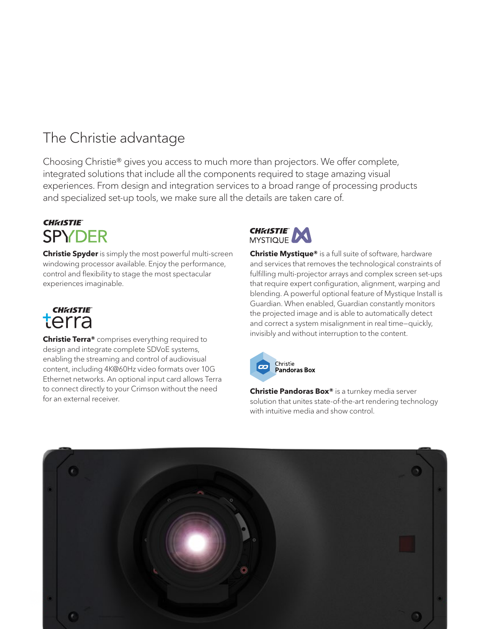## The Christie advantage

Choosing Christie® gives you access to much more than projectors. We offer complete, integrated solutions that include all the components required to stage amazing visual experiences. From design and integration services to a broad range of processing products and specialized set-up tools, we make sure all the details are taken care of.

### **CHKISTIE SPYDER**

**Christie Spyder** is simply the most powerful multi-screen windowing processor available. Enjoy the performance, control and flexibility to stage the most spectacular experiences imaginable.



**Christie Terra®** comprises everything required to design and integrate complete SDVoE systems, enabling the streaming and control of audiovisual content, including 4K@60Hz video formats over 10G Ethernet networks. An optional input card allows Terra to connect directly to your Crimson without the need for an external receiver.



**Christie Mystique®** is a full suite of software, hardware and services that removes the technological constraints of fulfilling multi-projector arrays and complex screen set-ups that require expert configuration, alignment, warping and blending. A powerful optional feature of Mystique Install is Guardian. When enabled, Guardian constantly monitors the projected image and is able to automatically detect and correct a system misalignment in real time—quickly, invisibly and without interruption to the content.



**Christie Pandoras Box®** is a turnkey media server solution that unites state-of-the-art rendering technology with intuitive media and show control.

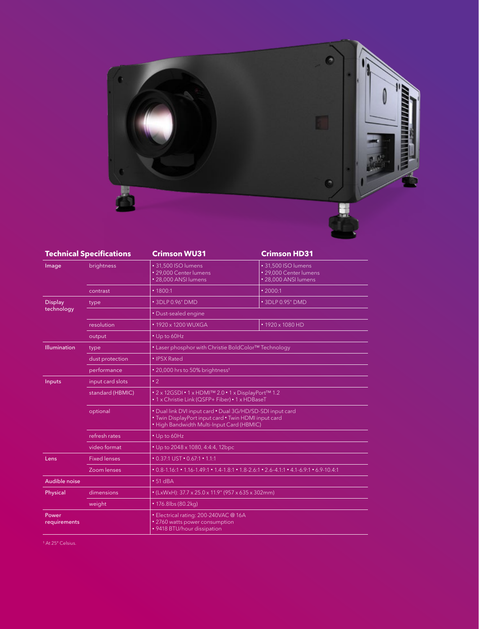

| <b>Technical Specifications</b> |                     | <b>Crimson WU31</b>                                                                                                                                            | <b>Crimson HD31</b>                                                   |  |
|---------------------------------|---------------------|----------------------------------------------------------------------------------------------------------------------------------------------------------------|-----------------------------------------------------------------------|--|
| Image                           | brightness          | · 31,500 ISO lumens<br>· 29,000 Center lumens<br>· 28,000 ANSI lumens                                                                                          | · 31,500 ISO lumens<br>• 29,000 Center lumens<br>· 28,000 ANSI lumens |  |
|                                 | contrast            | • 1800:1                                                                                                                                                       | $\cdot$ 2000:1                                                        |  |
| <b>Display</b>                  | type                | • 3DLP 0.96" DMD                                                                                                                                               | • 3DLP 0.95" DMD                                                      |  |
| technology                      |                     | • Dust-sealed engine                                                                                                                                           |                                                                       |  |
|                                 | resolution          | • 1920 x 1200 WUXGA                                                                                                                                            | • 1920 x 1080 HD                                                      |  |
|                                 | output              | • Up to 60Hz                                                                                                                                                   |                                                                       |  |
| <b>Illumination</b>             | type                | • Laser phosphor with Christie BoldColor <sup>TM</sup> Technology                                                                                              |                                                                       |  |
|                                 | dust protection     | • IP5X Rated                                                                                                                                                   |                                                                       |  |
|                                 | performance         | • 20,000 hrs to 50% brightness <sup>1</sup>                                                                                                                    |                                                                       |  |
| Inputs                          | input card slots    | $\cdot$ 2                                                                                                                                                      |                                                                       |  |
|                                 | standard (HBMIC)    | • 2 x 12GSDI • 1 x HDMI™ 2.0 • 1 x DisplayPort™ 1.2<br>• 1 x Christie Link (QSFP+ Fiber) • 1 x HDBaseT                                                         |                                                                       |  |
|                                 | optional            | . Dual link DVI input card . Dual 3G/HD/SD-SDI input card<br>. Twin DisplayPort input card . Twin HDMI input card<br>• High Bandwidth Multi-Input Card (HBMIC) |                                                                       |  |
|                                 | refresh rates       | • Up to 60Hz                                                                                                                                                   |                                                                       |  |
|                                 | video format        | • Up to 2048 x 1080, 4:4:4, 12bpc                                                                                                                              |                                                                       |  |
| Lens                            | <b>Fixed lenses</b> | $\cdot$ 0.37:1 UST $\cdot$ 0.67:1 $\cdot$ 1.1:1                                                                                                                |                                                                       |  |
|                                 | Zoom lenses         | $0.8-1.16:1$ $0.1.49:1$ $0.4-1.8:1$ $0.1-1.8:2.6:1$ $0.2.6-4.1:1$ $0.4.1-6.9:1$ $0.9-10.4:1$                                                                   |                                                                       |  |
| Audible noise                   |                     | $• 51$ dBA                                                                                                                                                     |                                                                       |  |
| Physical                        | dimensions          | • (LxWxH): 37.7 x 25.0 x 11.9" (957 x 635 x 302mm)                                                                                                             |                                                                       |  |
|                                 | weight              | • 176.8lbs (80.2kg)                                                                                                                                            |                                                                       |  |
| Power<br>requirements           |                     | • Electrical rating: 200-240VAC @ 16A<br>· 2760 watts power consumption<br>• 9418 BTU/hour dissipation                                                         |                                                                       |  |